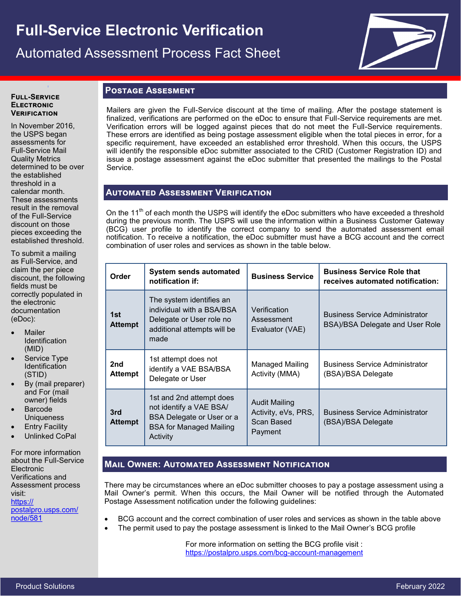# **Full-Service Electronic Verification**  Automated Assessment Process Fact Sheet



#### **Full-Service Electronic Verification**

**I**

In November 2016, the USPS began assessments for Full-Service Mail Quality Metrics determined to be over the established threshold in a calendar month. These assessments result in the removal of the Full-Service discount on those pieces exceeding the established threshold.

To submit a mailing as Full-Service, and claim the per piece discount, the following fields must be correctly populated in the electronic documentation (eDoc):

- Mailer **Identification** (MID)
- Service Type **Identification** (STID)
- By (mail preparer) and For (mail owner) fields
- **Barcode Uniqueness**
- **Entry Facility**
- Unlinked CoPal

For more information about the Full-Service **Electronic** Verifications and Assessment process visit: [https://](https://postalpro.usps.com/node/581) [postalpro.usps.com/](https://postalpro.usps.com/node/581) [node/581](https://postalpro.usps.com/node/581)

## **Postage Assesment**

Mailers are given the Full-Service discount at the time of mailing. After the postage statement is finalized, verifications are performed on the eDoc to ensure that Full-Service requirements are met. Verification errors will be logged against pieces that do not meet the Full-Service requirements. These errors are identified as being postage assessment eligible when the total pieces in error, for a specific requirement, have exceeded an established error threshold. When this occurs, the USPS will identify the responsible eDoc submitter associated to the CRID (Customer Registration ID) and issue a postage assessment against the eDoc submitter that presented the mailings to the Postal Service.

## **Automated Assessment Verification**

On the 11<sup>th</sup> of each month the USPS will identify the eDoc submitters who have exceeded a threshold during the previous month. The USPS will use the information within a Business Customer Gateway (BCG) user profile to identify the correct company to send the automated assessment email notification. To receive a notification, the eDoc submitter must have a BCG account and the correct combination of user roles and services as shown in the table below.

| Order                 | <b>System sends automated</b><br>notification if:                                                                              | <b>Business Service</b>                                       | <b>Business Service Role that</b><br>receives automated notification:    |
|-----------------------|--------------------------------------------------------------------------------------------------------------------------------|---------------------------------------------------------------|--------------------------------------------------------------------------|
| 1st<br><b>Attempt</b> | The system identifies an<br>individual with a BSA/BSA<br>Delegate or User role no<br>additional attempts will be<br>made       | Verification<br>Assessment<br>Evaluator (VAE)                 | <b>Business Service Administrator</b><br>BSA)/BSA Delegate and User Role |
| 2nd<br><b>Attempt</b> | 1st attempt does not<br>identify a VAE BSA/BSA<br>Delegate or User                                                             | Managed Mailing<br>Activity (MMA)                             | <b>Business Service Administrator</b><br>(BSA)/BSA Delegate              |
| 3rd<br><b>Attempt</b> | 1st and 2nd attempt does<br>not identify a VAE BSA/<br>BSA Delegate or User or a<br><b>BSA for Managed Mailing</b><br>Activity | Audit Mailing<br>Activity, eVs, PRS,<br>Scan Based<br>Payment | <b>Business Service Administrator</b><br>(BSA)/BSA Delegate              |

## **Mail Owner: Automated Assessment Notification**

There may be circumstances where an eDoc submitter chooses to pay a postage assessment using a Mail Owner's permit. When this occurs, the Mail Owner will be notified through the Automated Postage Assessment notification under the following guidelines:

- BCG account and the correct combination of user roles and services as shown in the table above
	- The permit used to pay the postage assessment is linked to the Mail Owner's BCG profile

For more information on setting the BCG profile visit : [https://postalpro.usps.com/bcg](https://postalpro.usps.com/bcg-account-management)-account-management